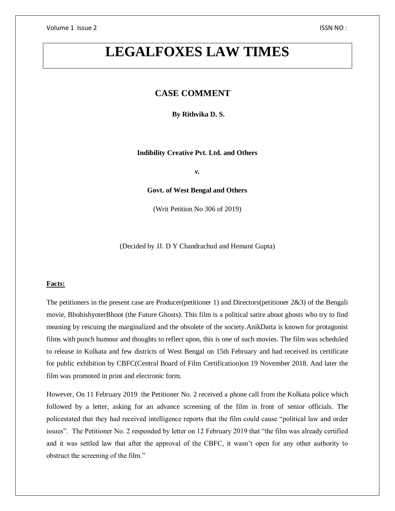# **LEGALFOXES LAW TIMES**

# **CASE COMMENT**

**By Rithvika D. S.**

**Indibility Creative Pvt. Ltd. and Others**

*v.*

**Govt. of West Bengal and Others**

(Writ Petition No 306 of 2019)

(Decided by JJ. D Y Chandrachud and Hemant Gupta)

## **Facts:**

The petitioners in the present case are Producer(petitioner 1) and Directors(petitioner 2&3) of the Bengali movie, BhobishyoterBhoot (the Future Ghosts). This film is a political satire about ghosts who try to find meaning by rescuing the marginalized and the obsolete of the society.AnikDatta is known for protagonist films with punch humour and thoughts to reflect upon, this is one of such movies. The film was scheduled to release in Kolkata and few districts of West Bengal on 15th February and had received its certificate for public exhibition by CBFC(Central Board of Film Certification)on 19 November 2018. And later the film was promoted in print and electronic form.

However, On 11 February 2019 the Petitioner No. 2 received a phone call from the Kolkata police which followed by a letter, asking for an advance screening of the film in front of senior officials. The policestated that they had received intelligence reports that the film could cause "political law and order issues". The Petitioner No. 2 responded by letter on 12 February 2019 that "the film was already certified and it was settled law that after the approval of the CBFC, it wasn't open for any other authority to obstruct the screening of the film."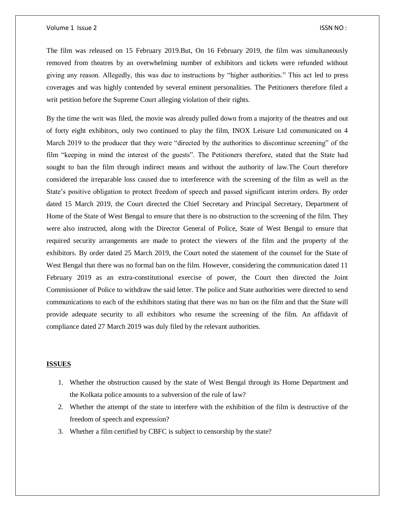#### Volume 1 Issue 2 ISSN NO :

The film was released on 15 February 2019.But, On 16 February 2019, the film was simultaneously removed from theatres by an overwhelming number of exhibitors and tickets were refunded without giving any reason. Allegedly, this was due to instructions by "higher authorities." This act led to press coverages and was highly contended by several eminent personalities. The Petitioners therefore filed a writ petition before the Supreme Court alleging violation of their rights.

By the time the writ was filed, the movie was already pulled down from a majority of the theatres and out of forty eight exhibitors, only two continued to play the film, INOX Leisure Ltd communicated on 4 March 2019 to the producer that they were "directed by the authorities to discontinue screening" of the film "keeping in mind the interest of the guests". The Petitioners therefore, stated that the State had sought to ban the film through indirect means and without the authority of law.The Court therefore considered the irreparable loss caused due to interference with the screening of the film as well as the State's positive obligation to protect freedom of speech and passed significant interim orders. By order dated 15 March 2019, the Court directed the Chief Secretary and Principal Secretary, Department of Home of the State of West Bengal to ensure that there is no obstruction to the screening of the film. They were also instructed, along with the Director General of Police, State of West Bengal to ensure that required security arrangements are made to protect the viewers of the film and the property of the exhibitors. By order dated 25 March 2019, the Court noted the statement of the counsel for the State of West Bengal that there was no formal ban on the film. However, considering the communication dated 11 February 2019 as an extra-constitutional exercise of power, the Court then directed the Joint Commissioner of Police to withdraw the said letter. The police and State authorities were directed to send communications to each of the exhibitors stating that there was no ban on the film and that the State will provide adequate security to all exhibitors who resume the screening of the film. An affidavit of compliance dated 27 March 2019 was duly filed by the relevant authorities.

#### **ISSUES**

- 1. Whether the obstruction caused by the state of West Bengal through its Home Department and the Kolkata police amounts to a subversion of the rule of law?
- 2. Whether the attempt of the state to interfere with the exhibition of the film is destructive of the freedom of speech and expression?
- 3. Whether a film certified by CBFC is subject to censorship by the state?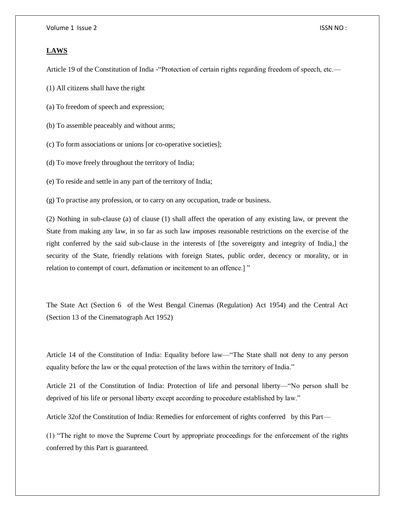### **LAWS**

Article 19 of the Constitution of India -"Protection of certain rights regarding freedom of speech, etc.—

(1) All citizens shall have the right

(a) To freedom of speech and expression;

(b) To assemble peaceably and without arms;

(c) To form associations or unions [or co-operative societies];

(d) To move freely throughout the territory of India;

(e) To reside and settle in any part of the territory of India;

(g) To practise any profession, or to carry on any occupation, trade or business.

(2) Nothing in sub-clause (a) of clause (1) shall affect the operation of any existing law, or prevent the State from making any law, in so far as such law imposes reasonable restrictions on the exercise of the right conferred by the said sub-clause in the interests of [the sovereignty and integrity of India,] the security of the State, friendly relations with foreign States, public order, decency or morality, or in relation to contempt of court, defamation or incitement to an offence.] "

The State Act (Section 6 of the West Bengal Cinemas (Regulation) Act 1954) and the Central Act (Section 13 of the Cinematograph Act 1952)

Article 14 of the Constitution of India: Equality before law—"The State shall not deny to any person equality before the law or the equal protection of the laws within the territory of India."

Article 21 of the Constitution of India: Protection of life and personal liberty—"No person shall be deprived of his life or personal liberty except according to procedure established by law."

Article 32of the Constitution of India: Remedies for enforcement of rights conferred by this Part—

(1) "The right to move the Supreme Court by appropriate proceedings for the enforcement of the rights conferred by this Part is guaranteed.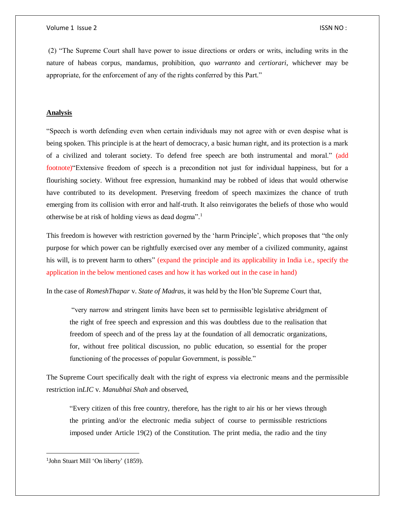(2) "The Supreme Court shall have power to issue directions or orders or writs, including writs in the nature of habeas corpus, mandamus, prohibition, *quo warranto* and *certiorari*, whichever may be appropriate, for the enforcement of any of the rights conferred by this Part."

## **Analysis**

"Speech is worth defending even when certain individuals may not agree with or even despise what is being spoken. This principle is at the heart of democracy, a basic human right, and its protection is a mark of a civilized and tolerant society. To defend free speech are both instrumental and moral." (add footnote)"Extensive freedom of speech is a precondition not just for individual happiness, but for a flourishing society. Without free expression, humankind may be robbed of ideas that would otherwise have contributed to its development. Preserving freedom of speech maximizes the chance of truth emerging from its collision with error and half-truth. It also reinvigorates the beliefs of those who would otherwise be at risk of holding views as dead dogma".<sup>1</sup>

This freedom is however with restriction governed by the 'harm Principle', which proposes that "the only purpose for which power can be rightfully exercised over any member of a civilized community, against his will, is to prevent harm to others" (expand the principle and its applicability in India i.e., specify the application in the below mentioned cases and how it has worked out in the case in hand)

In the case of *RomeshThapar* v. *State of Madras*, it was held by the Hon'ble Supreme Court that,

"very narrow and stringent limits have been set to permissible legislative abridgment of the right of free speech and expression and this was doubtless due to the realisation that freedom of speech and of the press lay at the foundation of all democratic organizations, for, without free political discussion, no public education, so essential for the proper functioning of the processes of popular Government, is possible."

The Supreme Court specifically dealt with the right of express via electronic means and the permissible restriction in*LIC* v. *Manubhai Shah* and observed,

"Every citizen of this free country, therefore, has the right to air his or her views through the printing and/or the electronic media subject of course to permissible restrictions imposed under Article 19(2) of the Constitution. The print media, the radio and the tiny

 $\overline{a}$ 

<sup>&</sup>lt;sup>1</sup>John Stuart Mill 'On liberty' (1859).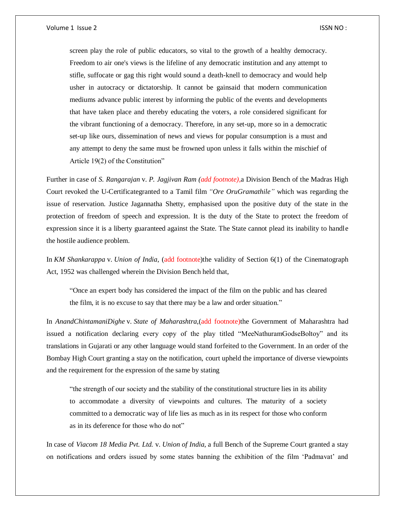screen play the role of public educators, so vital to the growth of a healthy democracy. Freedom to air one's views is the lifeline of any democratic institution and any attempt to stifle, suffocate or gag this right would sound a death-knell to democracy and would help usher in autocracy or dictatorship. It cannot be gainsaid that modern communication mediums advance public interest by informing the public of the events and developments that have taken place and thereby educating the voters, a role considered significant for the vibrant functioning of a democracy. Therefore, in any set-up, more so in a democratic set-up like ours, dissemination of news and views for popular consumption is a must and any attempt to deny the same must be frowned upon unless it falls within the mischief of Article 19(2) of the Constitution"

Further in case of *S. Rangarajan* v. *P. Jagjivan Ram (add footnote)*,a Division Bench of the Madras High Court revoked the U-Certificategranted to a Tamil film *"Ore OruGramathile"* which was regarding the issue of reservation. Justice Jagannatha Shetty, emphasised upon the positive duty of the state in the protection of freedom of speech and expression. It is the duty of the State to protect the freedom of expression since it is a liberty guaranteed against the State. The State cannot plead its inability to handle the hostile audience problem.

In *KM Shankarappa* v. *Union of India*, (add footnote)the validity of Section 6(1) of the Cinematograph Act, 1952 was challenged wherein the Division Bench held that,

"Once an expert body has considered the impact of the film on the public and has cleared the film, it is no excuse to say that there may be a law and order situation."

In *AnandChintamaniDighe* v. *State of Maharashtra*,(add footnote)the Government of Maharashtra had issued a notification declaring every copy of the play titled "MeeNathuramGodseBoltoy" and its translations in Gujarati or any other language would stand forfeited to the Government. In an order of the Bombay High Court granting a stay on the notification, court upheld the importance of diverse viewpoints and the requirement for the expression of the same by stating

"the strength of our society and the stability of the constitutional structure lies in its ability to accommodate a diversity of viewpoints and cultures. The maturity of a society committed to a democratic way of life lies as much as in its respect for those who conform as in its deference for those who do not"

In case of *Viacom 18 Media Pvt. Ltd.* v. *Union of India*, a full Bench of the Supreme Court granted a stay on notifications and orders issued by some states banning the exhibition of the film 'Padmavat' and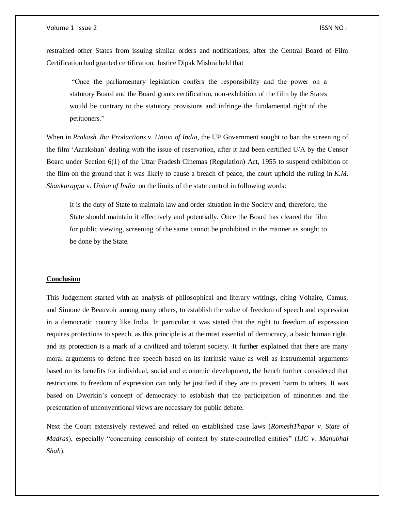restrained other States from issuing similar orders and notifications, after the Central Board of Film Certification had granted certification. Justice Dipak Mishra held that

"Once the parliamentary legislation confers the responsibility and the power on a statutory Board and the Board grants certification, non-exhibition of the film by the States would be contrary to the statutory provisions and infringe the fundamental right of the petitioners."

When in *Prakash Jha Productions* v. *Union of India*, the UP Government sought to ban the screening of the film 'Aarakshan' dealing with the issue of reservation, after it had been certified U/A by the Censor Board under Section 6(1) of the Uttar Pradesh Cinemas (Regulation) Act, 1955 to suspend exhibition of the film on the ground that it was likely to cause a breach of peace, the court uphold the ruling in *K.M. Shankarappa* v. *Union of India* on the limits of the state control in following words:

It is the duty of State to maintain law and order situation in the Society and, therefore, the State should maintain it effectively and potentially. Once the Board has cleared the film for public viewing, screening of the same cannot be prohibited in the manner as sought to be done by the State.

### **Conclusion**

This Judgement started with an analysis of philosophical and literary writings, citing Voltaire, Camus, and Simone de Beauvoir among many others, to establish the value of freedom of speech and expression in a democratic country like India. In particular it was stated that the right to freedom of expression requires protections to speech, as this principle is at the most essential of democracy, a basic human right, and its protection is a mark of a civilized and tolerant society. It further explained that there are many moral arguments to defend free speech based on its intrinsic value as well as instrumental arguments based on its benefits for individual, social and economic development, the bench further considered that restrictions to freedom of expression can only be justified if they are to prevent harm to others. It was based on Dworkin's concept of democracy to establish that the participation of minorities and the presentation of unconventional views are necessary for public debate.

Next the Court extensively reviewed and relied on established case laws (*RomeshThapar v. State of Madras*), especially "concerning censorship of content by state-controlled entities" (*LIC v. Manubhai Shah*).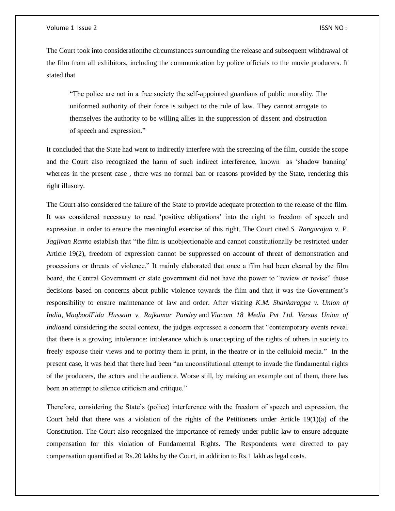#### Volume 1 Issue 2 ISSN NO :

The Court took into considerationthe circumstances surrounding the release and subsequent withdrawal of the film from all exhibitors, including the communication by police officials to the movie producers. It stated that

"The police are not in a free society the self-appointed guardians of public morality. The uniformed authority of their force is subject to the rule of law. They cannot arrogate to themselves the authority to be willing allies in the suppression of dissent and obstruction of speech and expression."

It concluded that the State had went to indirectly interfere with the screening of the film, outside the scope and the Court also recognized the harm of such indirect interference, known as 'shadow banning' whereas in the present case, there was no formal ban or reasons provided by the State, rendering this right illusory.

The Court also considered the failure of the State to provide adequate protection to the release of the film. It was considered necessary to read 'positive obligations' into the right to freedom of speech and expression in order to ensure the meaningful exercise of this right. The Court cited *S. Rangarajan v. P. Jagjivan Ram*to establish that "the film is unobjectionable and cannot constitutionally be restricted under Article 19(2), freedom of expression cannot be suppressed on account of threat of demonstration and processions or threats of violence." It mainly elaborated that once a film had been cleared by the film board, the Central Government or state government did not have the power to "review or revise" those decisions based on concerns about public violence towards the film and that it was the Government's responsibility to ensure maintenance of law and order. After visiting *K.M. Shankarappa v. Union of India, MaqboolFida Hussain v. Rajkumar Pandey* and *Viacom 18 Media Pvt Ltd. Versus Union of Indiaand* considering the social context, the judges expressed a concern that "contemporary events reveal that there is a growing intolerance: intolerance which is unaccepting of the rights of others in society to freely espouse their views and to portray them in print, in the theatre or in the celluloid media." In the present case, it was held that there had been "an unconstitutional attempt to invade the fundamental rights of the producers, the actors and the audience. Worse still, by making an example out of them, there has been an attempt to silence criticism and critique."

Therefore, considering the State's (police) interference with the freedom of speech and expression, the Court held that there was a violation of the rights of the Petitioners under Article  $19(1)(a)$  of the Constitution. The Court also recognized the importance of remedy under public law to ensure adequate compensation for this violation of Fundamental Rights. The Respondents were directed to pay compensation quantified at Rs.20 lakhs by the Court, in addition to Rs.1 lakh as legal costs.